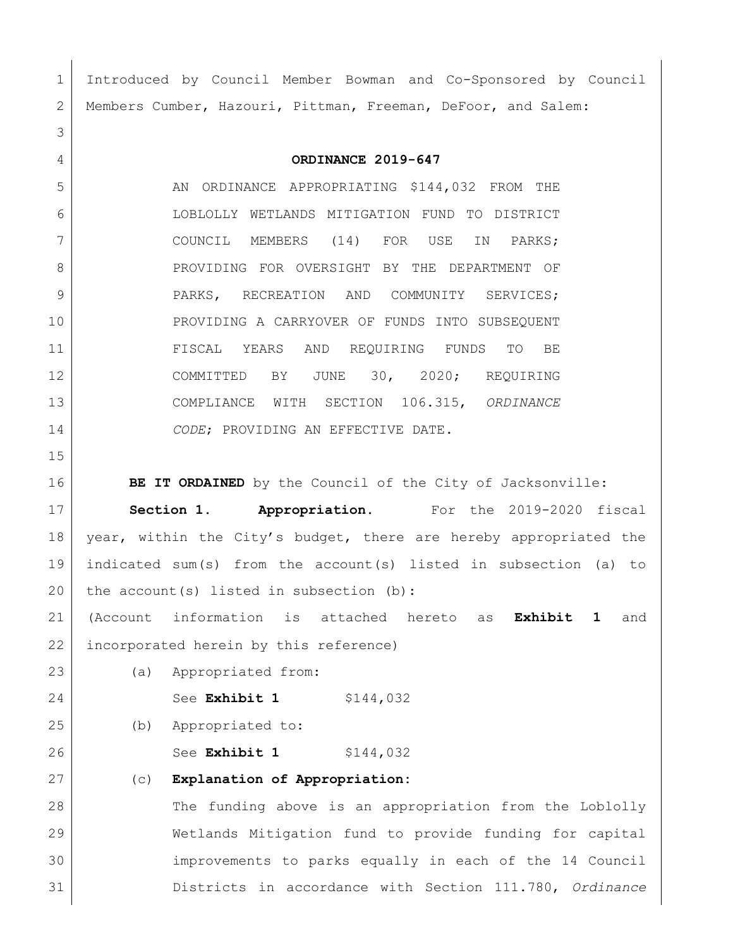Introduced by Council Member Bowman and Co-Sponsored by Council Members Cumber, Hazouri, Pittman, Freeman, DeFoor, and Salem: **ORDINANCE 2019-647** 5 AN ORDINANCE APPROPRIATING \$144,032 FROM THE LOBLOLLY WETLANDS MITIGATION FUND TO DISTRICT 7 COUNCIL MEMBERS (14) FOR USE IN PARKS; 8 PROVIDING FOR OVERSIGHT BY THE DEPARTMENT OF 9 PARKS, RECREATION AND COMMUNITY SERVICES; PROVIDING A CARRYOVER OF FUNDS INTO SUBSEQUENT FISCAL YEARS AND REQUIRING FUNDS TO BE COMMITTED BY JUNE 30, 2020; REQUIRING COMPLIANCE WITH SECTION 106.315, *ORDINANCE CODE*; PROVIDING AN EFFECTIVE DATE. **BE IT ORDAINED** by the Council of the City of Jacksonville: **Section 1. Appropriation.** For the 2019-2020 fiscal 18 | year, within the City's budget, there are hereby appropriated the indicated sum(s) from the account(s) listed in subsection (a) to 20 the account (s) listed in subsection (b): (Account information is attached hereto as **Exhibit 1** and 22 incorporated herein by this reference) (a) Appropriated from: 24 See **Exhibit 1** \$144,032 (b) Appropriated to: 26 | See **Exhibit 1** \$144,032 (c) **Explanation of Appropriation:** 28 The funding above is an appropriation from the Loblolly Wetlands Mitigation fund to provide funding for capital improvements to parks equally in each of the 14 Council Districts in accordance with Section 111.780, *Ordinance*